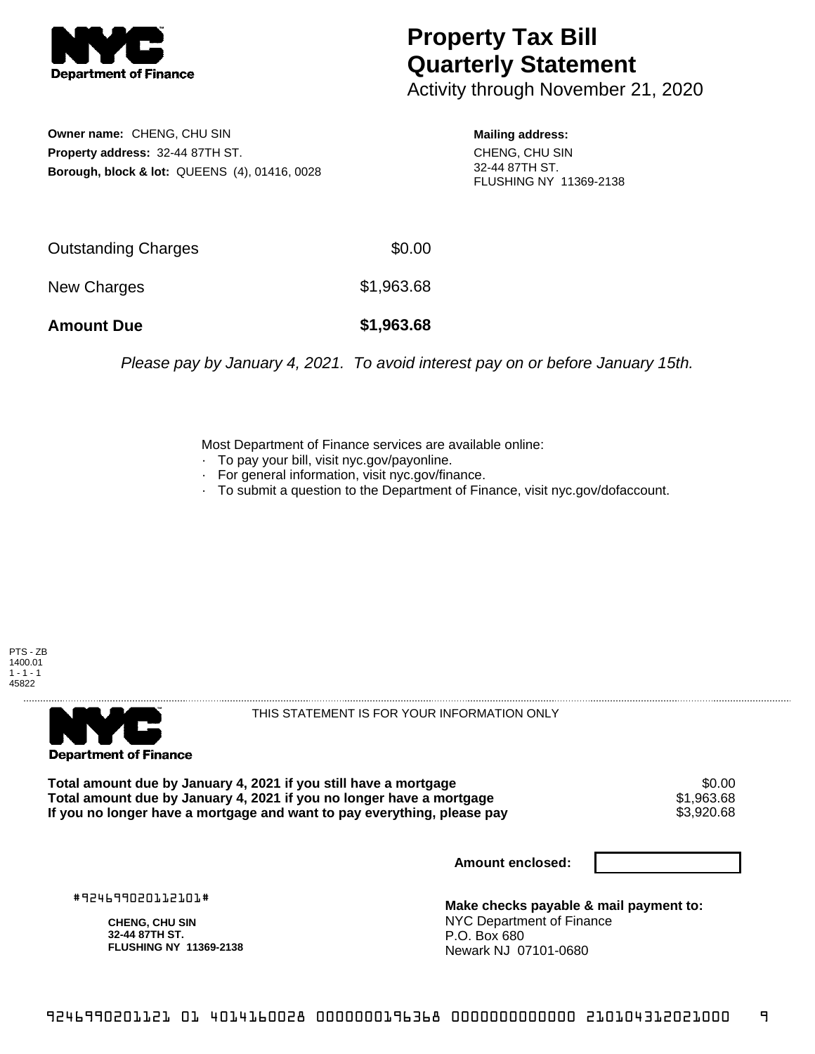

## **Property Tax Bill Quarterly Statement**

Activity through November 21, 2020

**Owner name:** CHENG, CHU SIN **Property address:** 32-44 87TH ST. **Borough, block & lot:** QUEENS (4), 01416, 0028 **Mailing address:**

CHENG, CHU SIN 32-44 87TH ST. FLUSHING NY 11369-2138

| <b>Amount Due</b>   | \$1,963.68 |
|---------------------|------------|
| New Charges         | \$1,963.68 |
| Outstanding Charges | \$0.00     |

Please pay by January 4, 2021. To avoid interest pay on or before January 15th.

Most Department of Finance services are available online:

- · To pay your bill, visit nyc.gov/payonline.
- For general information, visit nyc.gov/finance.
- · To submit a question to the Department of Finance, visit nyc.gov/dofaccount.





THIS STATEMENT IS FOR YOUR INFORMATION ONLY

Total amount due by January 4, 2021 if you still have a mortgage  $$0.00$ <br>Total amount due by January 4, 2021 if you no longer have a mortgage  $$1,963.68$ **Total amount due by January 4, 2021 if you no longer have a mortgage**  $$1,963.68$ **<br>If you no longer have a mortgage and want to pay everything, please pay**  $$3,920.68$ If you no longer have a mortgage and want to pay everything, please pay

**Amount enclosed:**

#924699020112101#

**CHENG, CHU SIN 32-44 87TH ST. FLUSHING NY 11369-2138**

**Make checks payable & mail payment to:** NYC Department of Finance P.O. Box 680 Newark NJ 07101-0680